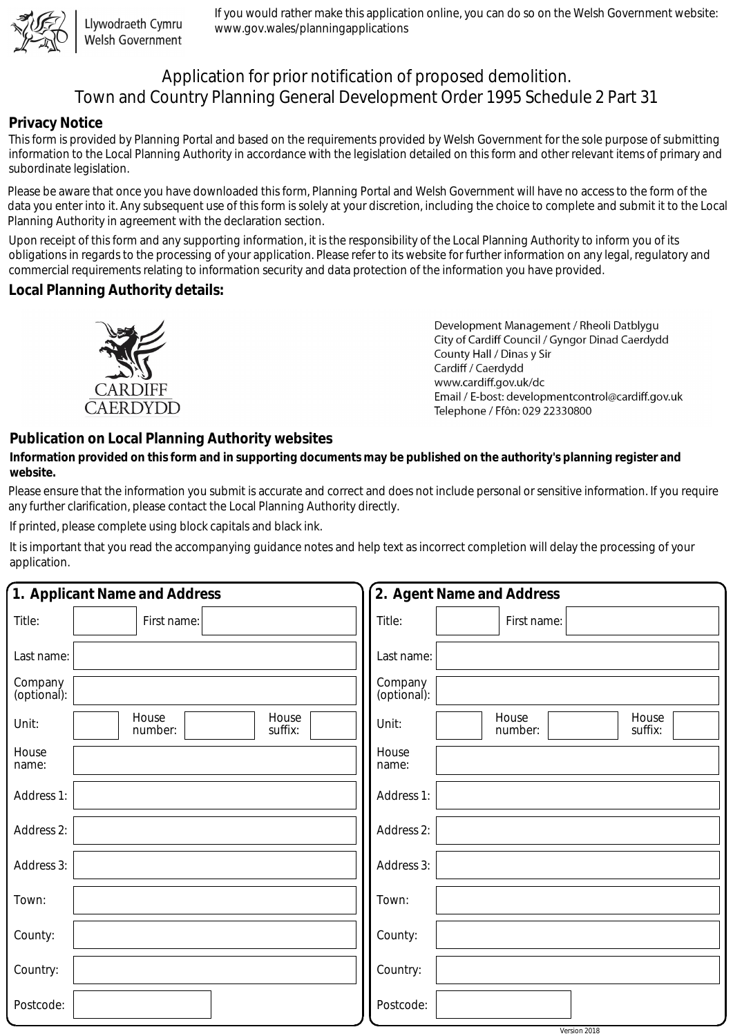

Llywodraeth Cymru Welsh Government

If you would rather make this application online, you can do so on the Welsh Government website: www.gov.wales/planningapplications

# Application for prior notification of proposed demolition. Town and Country Planning General Development Order 1995 Schedule 2 Part 31

### **Privacy Notice**

This form is provided by Planning Portal and based on the requirements provided by Welsh Government for the sole purpose of submitting information to the Local Planning Authority in accordance with the legislation detailed on this form and other relevant items of primary and subordinate legislation.

Please be aware that once you have downloaded this form, Planning Portal and Welsh Government will have no access to the form of the data you enter into it. Any subsequent use of this form is solely at your discretion, including the choice to complete and submit it to the Local Planning Authority in agreement with the declaration section.

Upon receipt of this form and any supporting information, it is the responsibility of the Local Planning Authority to inform you of its obligations in regards to the processing of your application. Please refer to its website for further information on any legal, regulatory and commercial requirements relating to information security and data protection of the information you have provided.

## **Local Planning Authority details:**



Development Management / Rheoli Datblygu City of Cardiff Council / Gyngor Dinad Caerdydd County Hall / Dinas y Sir Cardiff / Caerdydd www.cardiff.gov.uk/dc Email / E-bost: developmentcontrol@cardiff.gov.uk Telephone / Ffôn: 029 22330800

## **Publication on Local Planning Authority websites**

#### **Information provided on this form and in supporting documents may be published on the authority's planning register and website.**

Please ensure that the information you submit is accurate and correct and does not include personal or sensitive information. If you require any further clarification, please contact the Local Planning Authority directly.

If printed, please complete using block capitals and black ink.

It is important that you read the accompanying guidance notes and help text as incorrect completion will delay the processing of your application.

| 1. Applicant Name and Address |                                      | 2. Agent Name and Address                     |
|-------------------------------|--------------------------------------|-----------------------------------------------|
| Title:                        | First name:                          | Title:<br>First name:                         |
| Last name:                    |                                      | Last name:                                    |
| Company<br>(optional):        |                                      | Company<br>(optional):                        |
| Unit:                         | House<br>House<br>suffix:<br>number: | House<br>House<br>Unit:<br>number:<br>suffix: |
| House<br>name:                |                                      | House<br>name:                                |
| Address 1:                    |                                      | Address 1:                                    |
| Address 2:                    |                                      | Address 2:                                    |
| Address 3:                    |                                      | Address 3:                                    |
| Town:                         |                                      | Town:                                         |
| County:                       |                                      | County:                                       |
| Country:                      |                                      | Country:                                      |
| Postcode:                     |                                      | Postcode:                                     |
|                               |                                      | Version 2018                                  |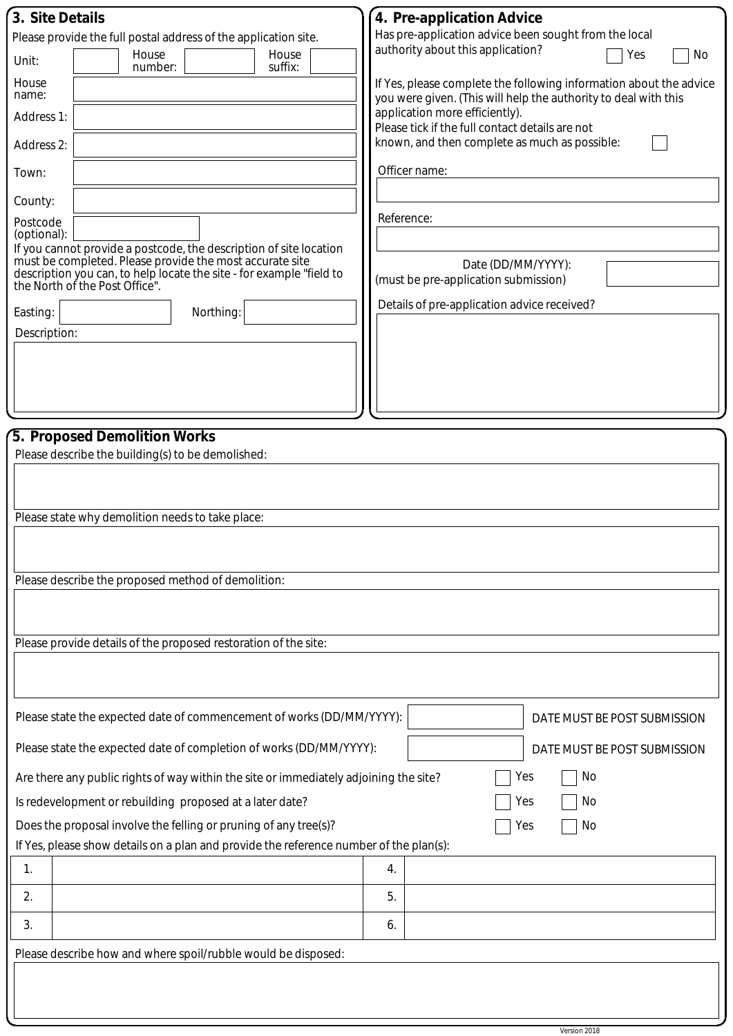| 3. Site Details                                                                                                                | 4. Pre-application Advice                                                                                                             |  |  |  |
|--------------------------------------------------------------------------------------------------------------------------------|---------------------------------------------------------------------------------------------------------------------------------------|--|--|--|
| Please provide the full postal address of the application site.                                                                | Has pre-application advice been sought from the local                                                                                 |  |  |  |
| House<br>House<br>Unit:<br>suffix:<br>number:                                                                                  | authority about this application?<br>Yes<br>No                                                                                        |  |  |  |
| House<br>name:                                                                                                                 | If Yes, please complete the following information about the advice<br>you were given. (This will help the authority to deal with this |  |  |  |
| Address 1:                                                                                                                     | application more efficiently).<br>Please tick if the full contact details are not                                                     |  |  |  |
| Address 2:                                                                                                                     | known, and then complete as much as possible:                                                                                         |  |  |  |
| Town:                                                                                                                          | Officer name:                                                                                                                         |  |  |  |
| County:                                                                                                                        |                                                                                                                                       |  |  |  |
| Postcode<br>(optional):                                                                                                        | Reference:                                                                                                                            |  |  |  |
| If you cannot provide a postcode, the description of site location<br>must be completed. Please provide the most accurate site |                                                                                                                                       |  |  |  |
| description you can, to help locate the site - for example "field to<br>the North of the Post Office".                         | Date (DD/MM/YYYY):<br>(must be pre-application submission)                                                                            |  |  |  |
| Easting:<br>Northing:                                                                                                          | Details of pre-application advice received?                                                                                           |  |  |  |
| Description:                                                                                                                   |                                                                                                                                       |  |  |  |
|                                                                                                                                |                                                                                                                                       |  |  |  |
|                                                                                                                                |                                                                                                                                       |  |  |  |
|                                                                                                                                |                                                                                                                                       |  |  |  |
| 5. Proposed Demolition Works                                                                                                   |                                                                                                                                       |  |  |  |
| Please describe the building(s) to be demolished:                                                                              |                                                                                                                                       |  |  |  |
|                                                                                                                                |                                                                                                                                       |  |  |  |
|                                                                                                                                |                                                                                                                                       |  |  |  |
| Please state why demolition needs to take place:                                                                               |                                                                                                                                       |  |  |  |
|                                                                                                                                |                                                                                                                                       |  |  |  |
| Please describe the proposed method of demolition:                                                                             |                                                                                                                                       |  |  |  |
|                                                                                                                                |                                                                                                                                       |  |  |  |
|                                                                                                                                |                                                                                                                                       |  |  |  |
| Please provide details of the proposed restoration of the site:                                                                |                                                                                                                                       |  |  |  |
|                                                                                                                                |                                                                                                                                       |  |  |  |
|                                                                                                                                |                                                                                                                                       |  |  |  |
| Please state the expected date of commencement of works (DD/MM/YYYY):                                                          | DATE MUST BE POST SUBMISSION                                                                                                          |  |  |  |
| Please state the expected date of completion of works (DD/MM/YYYY):<br>DATE MUST BE POST SUBMISSION                            |                                                                                                                                       |  |  |  |
| No<br>Are there any public rights of way within the site or immediately adjoining the site?<br>Yes                             |                                                                                                                                       |  |  |  |
| No<br>Is redevelopment or rebuilding proposed at a later date?<br>Yes                                                          |                                                                                                                                       |  |  |  |
| Does the proposal involve the felling or pruning of any tree(s)?<br>No<br>Yes                                                  |                                                                                                                                       |  |  |  |
| If Yes, please show details on a plan and provide the reference number of the plan(s):                                         |                                                                                                                                       |  |  |  |
| 1.                                                                                                                             | 4.                                                                                                                                    |  |  |  |
| 2.                                                                                                                             | 5.                                                                                                                                    |  |  |  |
| 3.                                                                                                                             | 6.                                                                                                                                    |  |  |  |
| Please describe how and where spoil/rubble would be disposed:                                                                  |                                                                                                                                       |  |  |  |
|                                                                                                                                |                                                                                                                                       |  |  |  |
|                                                                                                                                |                                                                                                                                       |  |  |  |